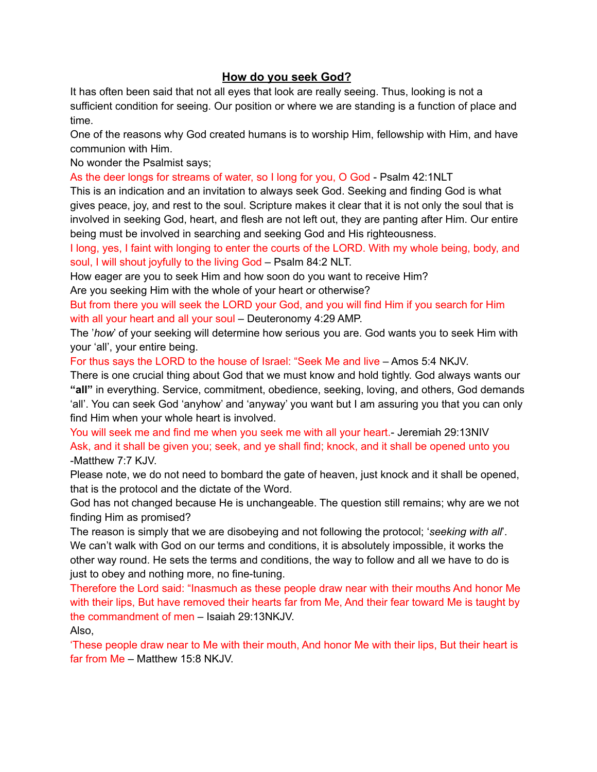## **How do you seek God?**

It has often been said that not all eyes that look are really seeing. Thus, looking is not a sufficient condition for seeing. Our position or where we are standing is a function of place and time.

One of the reasons why God created humans is to worship Him, fellowship with Him, and have communion with Him.

No wonder the Psalmist says;

As the deer longs for streams of water, so I long for you, O God - Psalm 42:1NLT

This is an indication and an invitation to always seek God. Seeking and finding God is what gives peace, joy, and rest to the soul. Scripture makes it clear that it is not only the soul that is involved in seeking God, heart, and flesh are not left out, they are panting after Him. Our entire being must be involved in searching and seeking God and His righteousness.

I long, yes, I faint with longing to enter the courts of the LORD. With my whole being, body, and soul, I will shout joyfully to the living God – Psalm 84:2 NLT.

How eager are you to seek Him and how soon do you want to receive Him?

Are you seeking Him with the whole of your heart or otherwise?

But from there you will seek the LORD your God, and you will find Him if you search for Him with all your heart and all your soul – Deuteronomy 4:29 AMP.

The '*how*' of your seeking will determine how serious you are. God wants you to seek Him with your 'all', your entire being.

For thus says the LORD to the house of Israel: "Seek Me and live – Amos 5:4 NKJV.

There is one crucial thing about God that we must know and hold tightly. God always wants our **"all"** in everything. Service, commitment, obedience, seeking, loving, and others, God demands 'all'. You can seek God 'anyhow' and 'anyway' you want but I am assuring you that you can only find Him when your whole heart is involved.

You will seek me and find me when you seek me with all your heart.- Jeremiah 29:13NIV Ask, and it shall be given you; seek, and ye shall find; knock, and it shall be opened unto you -Matthew 7:7 KJV.

Please note, we do not need to bombard the gate of heaven, just knock and it shall be opened, that is the protocol and the dictate of the Word.

God has not changed because He is unchangeable. The question still remains; why are we not finding Him as promised?

The reason is simply that we are disobeying and not following the protocol; '*seeking with all*'. We can't walk with God on our terms and conditions, it is absolutely impossible, it works the other way round. He sets the terms and conditions, the way to follow and all we have to do is just to obey and nothing more, no fine-tuning.

Therefore the Lord said: "Inasmuch as these people draw near with their mouths And honor Me with their lips, But have removed their hearts far from Me, And their fear toward Me is taught by the commandment of men – Isaiah 29:13NKJV.

Also,

'These people draw near to Me with their mouth, And honor Me with their lips, But their heart is far from Me – Matthew 15:8 NKJV.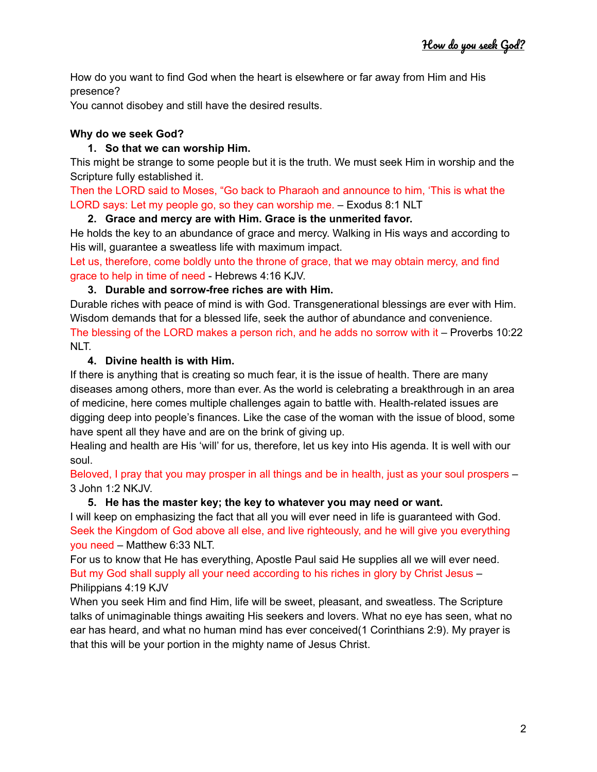How do you want to find God when the heart is elsewhere or far away from Him and His presence?

You cannot disobey and still have the desired results.

# **Why do we seek God?**

## **1. So that we can worship Him.**

This might be strange to some people but it is the truth. We must seek Him in worship and the Scripture fully established it.

Then the LORD said to Moses, "Go back to Pharaoh and announce to him, 'This is what the LORD says: Let my people go, so they can worship me. – Exodus 8:1 NLT

#### **2. Grace and mercy are with Him. Grace is the unmerited favor.**

He holds the key to an abundance of grace and mercy. Walking in His ways and according to His will, guarantee a sweatless life with maximum impact.

Let us, therefore, come boldly unto the throne of grace, that we may obtain mercy, and find grace to help in time of need - Hebrews 4:16 KJV.

### **3. Durable and sorrow-free riches are with Him.**

Durable riches with peace of mind is with God. Transgenerational blessings are ever with Him. Wisdom demands that for a blessed life, seek the author of abundance and convenience. The blessing of the LORD makes a person rich, and he adds no sorrow with it – Proverbs 10:22 NLT.

### **4. Divine health is with Him.**

If there is anything that is creating so much fear, it is the issue of health. There are many diseases among others, more than ever. As the world is celebrating a breakthrough in an area of medicine, here comes multiple challenges again to battle with. Health-related issues are digging deep into people's finances. Like the case of the woman with the issue of blood, some have spent all they have and are on the brink of giving up.

Healing and health are His 'will' for us, therefore, let us key into His agenda. It is well with our soul.

Beloved, I pray that you may prosper in all things and be in health, just as your soul prospers – 3 John 1:2 NKJV.

#### **5. He has the master key; the key to whatever you may need or want.**

I will keep on emphasizing the fact that all you will ever need in life is guaranteed with God. Seek the Kingdom of God above all else, and live righteously, and he will give you everything you need – Matthew 6:33 NLT.

For us to know that He has everything, Apostle Paul said He supplies all we will ever need. But my God shall supply all your need according to his riches in glory by Christ Jesus – Philippians 4:19 KJV

When you seek Him and find Him, life will be sweet, pleasant, and sweatless. The Scripture talks of unimaginable things awaiting His seekers and lovers. What no eye has seen, what no ear has heard, and what no human mind has ever conceived(1 Corinthians 2:9). My prayer is that this will be your portion in the mighty name of Jesus Christ.